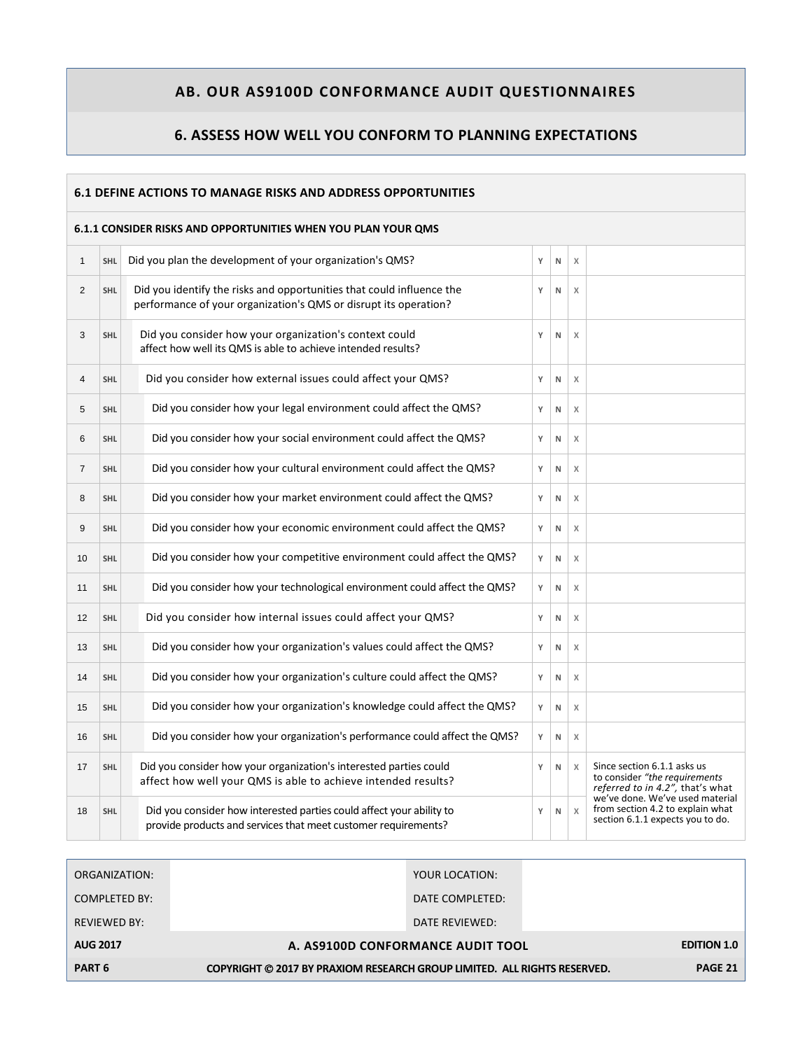### **6. ASSESS HOW WELL YOU CONFORM TO PLANNING EXPECTATIONS**

| 6.1 DEFINE ACTIONS TO MANAGE RISKS AND ADDRESS OPPORTUNITIES  |            |                                                                                                                                           |   |           |          |                                                                                                         |  |  |  |
|---------------------------------------------------------------|------------|-------------------------------------------------------------------------------------------------------------------------------------------|---|-----------|----------|---------------------------------------------------------------------------------------------------------|--|--|--|
| 6.1.1 CONSIDER RISKS AND OPPORTUNITIES WHEN YOU PLAN YOUR QMS |            |                                                                                                                                           |   |           |          |                                                                                                         |  |  |  |
| $\mathbf{1}$                                                  | <b>SHL</b> | Did you plan the development of your organization's QMS?<br>$\chi$<br>Υ<br>N                                                              |   |           |          |                                                                                                         |  |  |  |
| $\overline{2}$                                                | SHL        | Did you identify the risks and opportunities that could influence the<br>performance of your organization's QMS or disrupt its operation? |   | N         | X        |                                                                                                         |  |  |  |
| 3                                                             | <b>SHL</b> | Did you consider how your organization's context could<br>affect how well its QMS is able to achieve intended results?                    |   | N         | $\times$ |                                                                                                         |  |  |  |
| $\overline{4}$                                                | <b>SHL</b> | Did you consider how external issues could affect your QMS?                                                                               | Υ | N         | X        |                                                                                                         |  |  |  |
| 5                                                             | <b>SHL</b> | Did you consider how your legal environment could affect the QMS?                                                                         | Y | N         | $\times$ |                                                                                                         |  |  |  |
| 6                                                             | <b>SHL</b> | Did you consider how your social environment could affect the QMS?                                                                        | Y | N         | X        |                                                                                                         |  |  |  |
| $\overline{7}$                                                | <b>SHL</b> | Did you consider how your cultural environment could affect the QMS?                                                                      | Υ | N         | X        |                                                                                                         |  |  |  |
| 8                                                             | <b>SHL</b> | Did you consider how your market environment could affect the QMS?                                                                        | Υ | N         | X        |                                                                                                         |  |  |  |
| 9                                                             | <b>SHL</b> | Did you consider how your economic environment could affect the QMS?                                                                      | Υ | N         | X        |                                                                                                         |  |  |  |
| 10                                                            | <b>SHL</b> | Did you consider how your competitive environment could affect the QMS?                                                                   | Υ | ${\sf N}$ | $\times$ |                                                                                                         |  |  |  |
| 11                                                            | <b>SHL</b> | Did you consider how your technological environment could affect the QMS?                                                                 | Υ | ${\sf N}$ | X        |                                                                                                         |  |  |  |
| 12                                                            | <b>SHL</b> | Did you consider how internal issues could affect your QMS?                                                                               | Υ | N         | X        |                                                                                                         |  |  |  |
| 13                                                            | <b>SHL</b> | Did you consider how your organization's values could affect the QMS?                                                                     | Y | N         | X        |                                                                                                         |  |  |  |
| 14                                                            | <b>SHL</b> | Did you consider how your organization's culture could affect the QMS?                                                                    | Υ | N         | X        |                                                                                                         |  |  |  |
| 15                                                            | <b>SHL</b> | Did you consider how your organization's knowledge could affect the QMS?                                                                  | Υ | N         | $\times$ |                                                                                                         |  |  |  |
| 16                                                            | <b>SHL</b> | Did you consider how your organization's performance could affect the QMS?                                                                | Υ | ${\sf N}$ | X        |                                                                                                         |  |  |  |
| 17                                                            | <b>SHL</b> | Did you consider how your organization's interested parties could<br>affect how well your QMS is able to achieve intended results?        | Υ | N         | X        | Since section 6.1.1 asks us<br>to consider "the requirements<br>referred to in 4.2", that's what        |  |  |  |
| 18                                                            | <b>SHL</b> | Did you consider how interested parties could affect your ability to<br>provide products and services that meet customer requirements?    | Υ | N         | $\times$ | we've done. We've used material<br>from section 4.2 to explain what<br>section 6.1.1 expects you to do. |  |  |  |

| ORGANIZATION:       |                                                                          | YOUR LOCATION:  |                    |
|---------------------|--------------------------------------------------------------------------|-----------------|--------------------|
| COMPLETED BY:       |                                                                          | DATE COMPLETED: |                    |
| <b>REVIEWED BY:</b> |                                                                          | DATE REVIEWED:  |                    |
| <b>AUG 2017</b>     | A. AS9100D CONFORMANCE AUDIT TOOL                                        |                 | <b>EDITION 1.0</b> |
| PART <sub>6</sub>   | COPYRIGHT © 2017 BY PRAXIOM RESEARCH GROUP LIMITED. ALL RIGHTS RESERVED. |                 | PAGE 21            |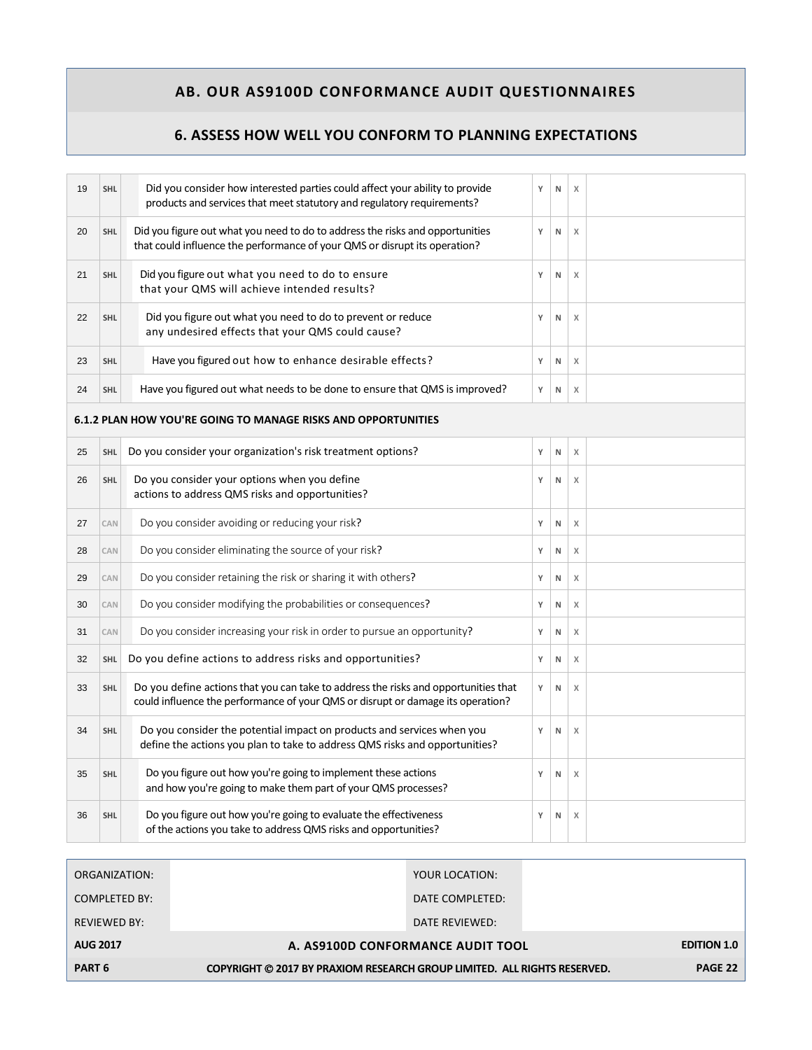### **6. ASSESS HOW WELL YOU CONFORM TO PLANNING EXPECTATIONS**

| 19 | <b>SHL</b> | Did you consider how interested parties could affect your ability to provide<br>products and services that meet statutory and regulatory requirements?                 | Y | N         | $\chi$ |  |
|----|------------|------------------------------------------------------------------------------------------------------------------------------------------------------------------------|---|-----------|--------|--|
| 20 | <b>SHL</b> | Did you figure out what you need to do to address the risks and opportunities<br>that could influence the performance of your QMS or disrupt its operation?            | Υ | ${\sf N}$ | X      |  |
| 21 | <b>SHL</b> | Did you figure out what you need to do to ensure<br>that your QMS will achieve intended results?                                                                       | Υ | N         | X      |  |
| 22 | <b>SHL</b> | Did you figure out what you need to do to prevent or reduce<br>any undesired effects that your QMS could cause?                                                        | Υ | ${\sf N}$ | X      |  |
| 23 | <b>SHL</b> | Have you figured out how to enhance desirable effects?                                                                                                                 | Y | N         | X      |  |
| 24 | <b>SHL</b> | Have you figured out what needs to be done to ensure that QMS is improved?                                                                                             | Υ | ${\sf N}$ | X      |  |
|    |            | 6.1.2 PLAN HOW YOU'RE GOING TO MANAGE RISKS AND OPPORTUNITIES                                                                                                          |   |           |        |  |
| 25 | <b>SHL</b> | Do you consider your organization's risk treatment options?                                                                                                            | Υ | ${\sf N}$ | $\chi$ |  |
| 26 | <b>SHL</b> | Do you consider your options when you define<br>actions to address QMS risks and opportunities?                                                                        | Υ | ${\sf N}$ | X      |  |
| 27 | CAN        | Do you consider avoiding or reducing your risk?                                                                                                                        | Y | N         | $\chi$ |  |
| 28 | CAN        | Do you consider eliminating the source of your risk?                                                                                                                   | Υ | N         | X      |  |
| 29 | CAN        | Do you consider retaining the risk or sharing it with others?                                                                                                          | Υ | N         | X      |  |
| 30 | CAN        | Do you consider modifying the probabilities or consequences?                                                                                                           | Υ | ${\sf N}$ | X      |  |
| 31 | CAN        | Do you consider increasing your risk in order to pursue an opportunity?                                                                                                | Υ | N         | X      |  |
| 32 | <b>SHL</b> | Do you define actions to address risks and opportunities?                                                                                                              | Υ | ${\sf N}$ | X      |  |
| 33 | <b>SHL</b> | Do you define actions that you can take to address the risks and opportunities that<br>could influence the performance of your QMS or disrupt or damage its operation? | Y | N         | X      |  |
| 34 | <b>SHL</b> | Do you consider the potential impact on products and services when you<br>define the actions you plan to take to address QMS risks and opportunities?                  | Y | N         | X      |  |
| 35 | <b>SHL</b> | Do you figure out how you're going to implement these actions<br>and how you're going to make them part of your QMS processes?                                         | Υ | N         | X      |  |
| 36 | <b>SHL</b> | Do you figure out how you're going to evaluate the effectiveness<br>of the actions you take to address QMS risks and opportunities?                                    | Υ | ${\sf N}$ | X      |  |

| ORGANIZATION:       |                                                                          | YOUR LOCATION:  |                    |  |
|---------------------|--------------------------------------------------------------------------|-----------------|--------------------|--|
| COMPLETED BY:       |                                                                          | DATE COMPLETED: |                    |  |
| <b>REVIEWED BY:</b> |                                                                          | DATE REVIEWED:  |                    |  |
| <b>AUG 2017</b>     | A. AS9100D CONFORMANCE AUDIT TOOL                                        |                 | <b>EDITION 1.0</b> |  |
| PART <sub>6</sub>   | COPYRIGHT © 2017 BY PRAXIOM RESEARCH GROUP LIMITED. ALL RIGHTS RESERVED. |                 | PAGE 22            |  |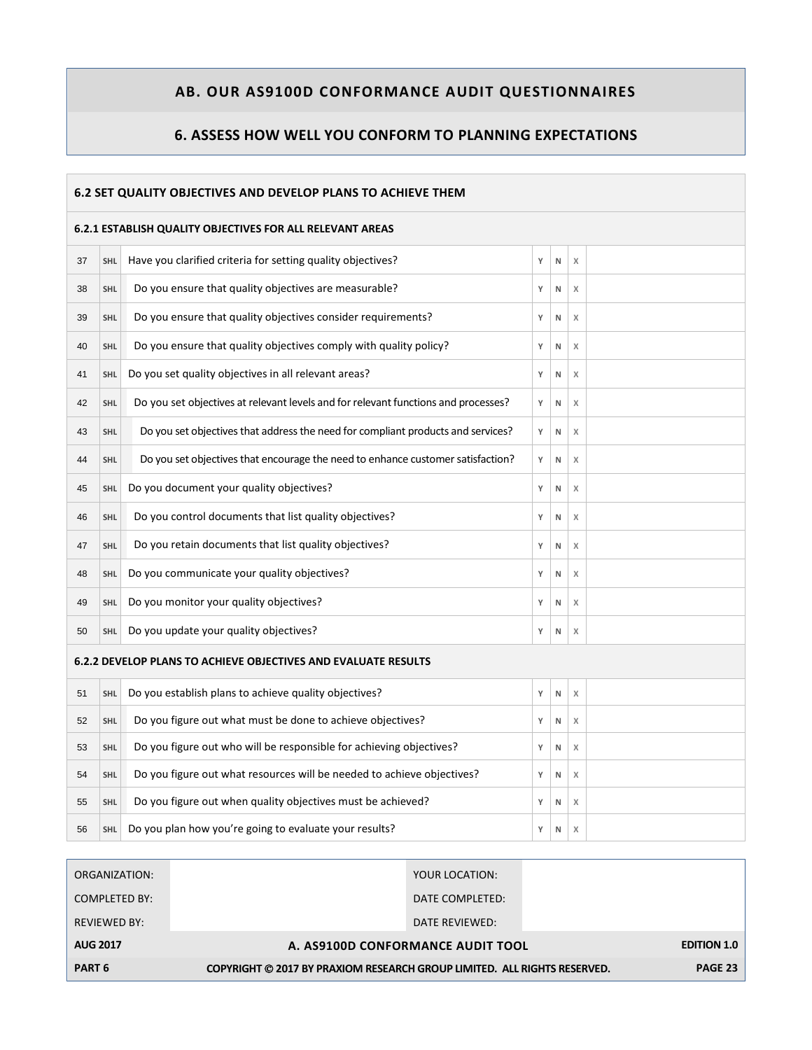### **6. ASSESS HOW WELL YOU CONFORM TO PLANNING EXPECTATIONS**

#### **6.2 SET QUALITY OBJECTIVES AND DEVELOP PLANS TO ACHIEVE THEM**

#### **6.2.1 ESTABLISH QUALITY OBJECTIVES FOR ALL RELEVANT AREAS**

| 37                                                             | <b>SHL</b> | Have you clarified criteria for setting quality objectives?                        | Y | N            | $\times$ |  |  |
|----------------------------------------------------------------|------------|------------------------------------------------------------------------------------|---|--------------|----------|--|--|
| 38                                                             | <b>SHL</b> | Do you ensure that quality objectives are measurable?                              | Y | N            | $\chi$   |  |  |
| 39                                                             | <b>SHL</b> | Do you ensure that quality objectives consider requirements?                       | Υ | N            | X        |  |  |
| 40                                                             | <b>SHL</b> | Do you ensure that quality objectives comply with quality policy?                  | Υ | N            | $\times$ |  |  |
| 41                                                             | <b>SHL</b> | Do you set quality objectives in all relevant areas?                               | Y | N            | X        |  |  |
| 42                                                             | <b>SHL</b> | Do you set objectives at relevant levels and for relevant functions and processes? | Υ | N            | X        |  |  |
| 43                                                             | <b>SHL</b> | Do you set objectives that address the need for compliant products and services?   | Υ | N            | X        |  |  |
| 44                                                             | <b>SHL</b> | Do you set objectives that encourage the need to enhance customer satisfaction?    | Υ | ${\sf N}$    | $\chi$   |  |  |
| 45                                                             | <b>SHL</b> | Do you document your quality objectives?                                           | Y | N            | X        |  |  |
| 46                                                             | <b>SHL</b> | Do you control documents that list quality objectives?                             | Y | N            | $\times$ |  |  |
| 47                                                             | <b>SHL</b> | Do you retain documents that list quality objectives?                              | Υ | N            | $\chi$   |  |  |
| 48                                                             | <b>SHL</b> | Do you communicate your quality objectives?                                        | Y | N            | $\chi$   |  |  |
| 49                                                             | <b>SHL</b> | Do you monitor your quality objectives?                                            | Y | N            | X        |  |  |
| 50                                                             | <b>SHL</b> | Do you update your quality objectives?                                             | Y | N            | X        |  |  |
| 6.2.2 DEVELOP PLANS TO ACHIEVE OBJECTIVES AND EVALUATE RESULTS |            |                                                                                    |   |              |          |  |  |
| 51                                                             | <b>SHL</b> | Do you establish plans to achieve quality objectives?                              | Υ | N            | $\times$ |  |  |
| 52                                                             | <b>SHL</b> | Do you figure out what must be done to achieve objectives?                         | Υ | N            | X        |  |  |
| 53                                                             | <b>SHL</b> | Do you figure out who will be responsible for achieving objectives?                | Υ | ${\sf N}$    | $\times$ |  |  |
| 54                                                             | <b>SHL</b> | Do you figure out what resources will be needed to achieve objectives?             | Υ | N            | X        |  |  |
| 55                                                             | <b>SHL</b> | Do you figure out when quality objectives must be achieved?                        | Υ | N            | $\times$ |  |  |
| 56                                                             | <b>SHL</b> | Do you plan how you're going to evaluate your results?                             | Y | $\mathsf{N}$ | $\times$ |  |  |

| ORGANIZATION:       |                                                                          | YOUR LOCATION:  |                    |  |
|---------------------|--------------------------------------------------------------------------|-----------------|--------------------|--|
| COMPLETED BY:       |                                                                          | DATE COMPLETED: |                    |  |
| <b>REVIEWED BY:</b> |                                                                          | DATE REVIEWED:  |                    |  |
| <b>AUG 2017</b>     | A. AS9100D CONFORMANCE AUDIT TOOL                                        |                 | <b>EDITION 1.0</b> |  |
| PART <sub>6</sub>   | COPYRIGHT © 2017 BY PRAXIOM RESEARCH GROUP LIMITED. ALL RIGHTS RESERVED. |                 | PAGE 23            |  |